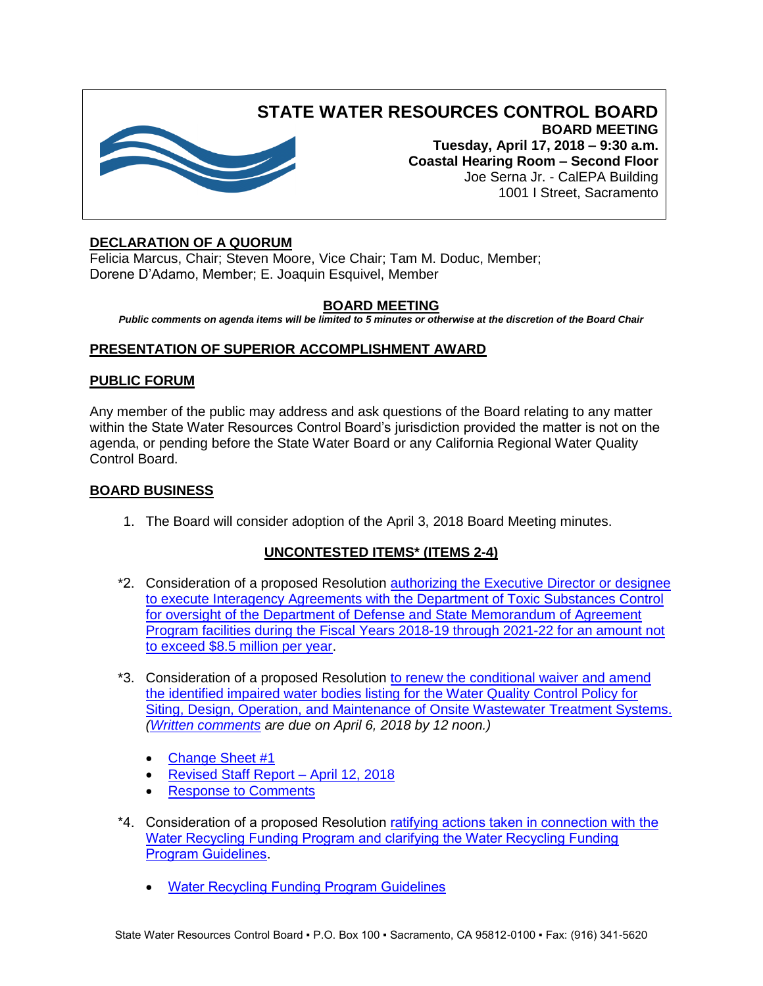

# **STATE WATER RESOURCES CONTROL BOARD BOARD MEETING**

**Tuesday, April 17, 2018 – 9:30 a.m. Coastal Hearing Room – Second Floor** Joe Serna Jr. - CalEPA Building 1001 I Street, Sacramento

# **DECLARATION OF A QUORUM**

Felicia Marcus, Chair; Steven Moore, Vice Chair; Tam M. Doduc, Member; Dorene D'Adamo, Member; E. Joaquin Esquivel, Member

## **BOARD MEETING**

*Public comments on agenda items will be limited to 5 minutes or otherwise at the discretion of the Board Chair*

## **PRESENTATION OF SUPERIOR ACCOMPLISHMENT AWARD**

### **PUBLIC FORUM**

Any member of the public may address and ask questions of the Board relating to any matter within the State Water Resources Control Board's jurisdiction provided the matter is not on the agenda, or pending before the State Water Board or any California Regional Water Quality Control Board.

### **BOARD BUSINESS**

1. The Board will consider adoption of the April 3, 2018 Board Meeting minutes.

# **UNCONTESTED ITEMS\* (ITEMS 2-4)**

- \*2. Consideration of a proposed Resolution [authorizing the Executive Director or designee](https://www.waterboards.ca.gov/board_info/agendas/2018/apr/041718_2.pdf)  [to execute Interagency Agreements with the Department of Toxic Substances Control](https://www.waterboards.ca.gov/board_info/agendas/2018/apr/041718_2.pdf)  [for oversight of the Department of Defense and State Memorandum of Agreement](https://www.waterboards.ca.gov/board_info/agendas/2018/apr/041718_2.pdf)  [Program facilities during the Fiscal Years 2018-19 through 2021-22 for an amount not](https://www.waterboards.ca.gov/board_info/agendas/2018/apr/041718_2.pdf)  [to exceed \\$8.5 million per year.](https://www.waterboards.ca.gov/board_info/agendas/2018/apr/041718_2.pdf)
- \*3. Consideration of a proposed Resolution to renew the conditional waiver and amend [the identified impaired water bodies listing for the Water Quality Control Policy for](https://www.waterboards.ca.gov/board_info/agendas/2018/apr/041718_3.pdf)  [Siting, Design, Operation, and Maintenance of Onsite Wastewater Treatment Systems.](https://www.waterboards.ca.gov/board_info/agendas/2018/apr/041718_3.pdf) *[\(Written comments](https://www.waterboards.ca.gov/public_notices/comments/owts_tmdl/) are due on April 6, 2018 by 12 noon.)*
	- [Change Sheet #1](https://www.waterboards.ca.gov/board_info/agendas/2018/apr/041718_3_cs1.pdf)
	- [Revised Staff Report –](https://www.waterboards.ca.gov/water_issues/programs/owts/docs/owts_policy_staffreport_r3.pdf) April 12, 2018
	- [Response to Comments](https://www.waterboards.ca.gov/water_issues/programs/owts/docs/12apr2018_rtc.pdf)
- \*4. Consideration of a proposed Resolution [ratifying actions taken in connection with the](https://www.waterboards.ca.gov/board_info/agendas/2018/apr/041718_4.pdf)  [Water Recycling Funding Program and clarifying the Water Recycling Funding](https://www.waterboards.ca.gov/board_info/agendas/2018/apr/041718_4.pdf)  [Program Guidelines.](https://www.waterboards.ca.gov/board_info/agendas/2018/apr/041718_4.pdf)
	- **[Water Recycling Funding Program Guidelines](https://www.waterboards.ca.gov/water_issues/programs/grants_loans/water_recycling/docs/wrfp_guidelines.pdf)**